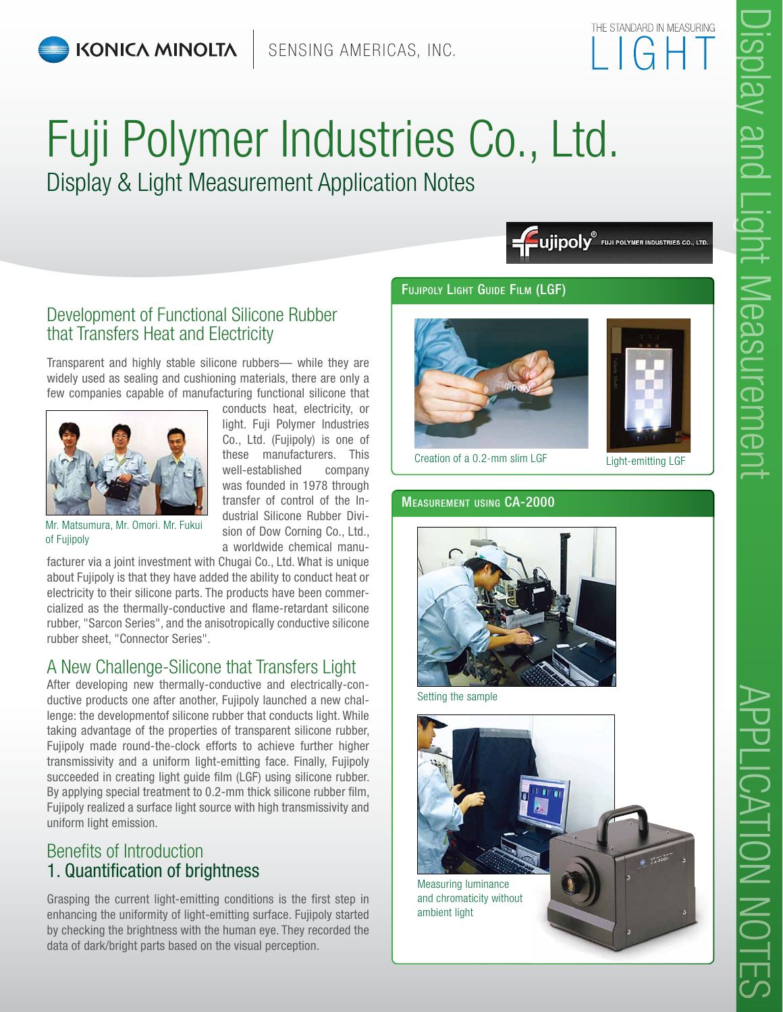# Fuji Polymer Industries Co., Ltd. Display & Light Measurement Application Notes

Fujipoly<sup>®</sup> Fuji POLYMER INDUSTRIES CO., LTD.

## Development of Functional Silicone Rubber that Transfers Heat and Electricity

Transparent and highly stable silicone rubbers— while they are widely used as sealing and cushioning materials, there are only a few companies capable of manufacturing functional silicone that



conducts heat, electricity, or light. Fuji Polymer Industries Co., Ltd. (Fujipoly) is one of these manufacturers. This well-established company was founded in 1978 through transfer of control of the Industrial Silicone Rubber Division of Dow Corning Co., Ltd., a worldwide chemical manu-

Mr. Matsumura, Mr. Omori. Mr. Fukui of Fujipoly

facturer via a joint investment with Chugai Co., Ltd. What is unique about Fujipoly is that they have added the ability to conduct heat or electricity to their silicone parts. The products have been commercialized as the thermally-conductive and flame-retardant silicone rubber, "Sarcon Series", and the anisotropically conductive silicone rubber sheet, "Connector Series".

# A New Challenge-Silicone that Transfers Light

After developing new thermally-conductive and electrically-conductive products one after another, Fujipoly launched a new challenge: the developmentof silicone rubber that conducts light. While taking advantage of the properties of transparent silicone rubber, Fujipoly made round-the-clock efforts to achieve further higher transmissivity and a uniform light-emitting face. Finally, Fujipoly succeeded in creating light guide film (LGF) using silicone rubber. By applying special treatment to 0.2-mm thick silicone rubber film, Fujipoly realized a surface light source with high transmissivity and uniform light emission.

# Benefits of Introduction 1. Quantification of brightness

Grasping the current light-emitting conditions is the first step in enhancing the uniformity of light-emitting surface. Fujipoly started by checking the brightness with the human eye. They recorded the data of dark/bright parts based on the visual perception.

#### Fujipoly Light Guide Film (LGF)





Creation of a 0.2-mm slim LGF Light-emitting LGF

#### Measurement using CA-2000



Setting the sample



APPLICATION NOTES